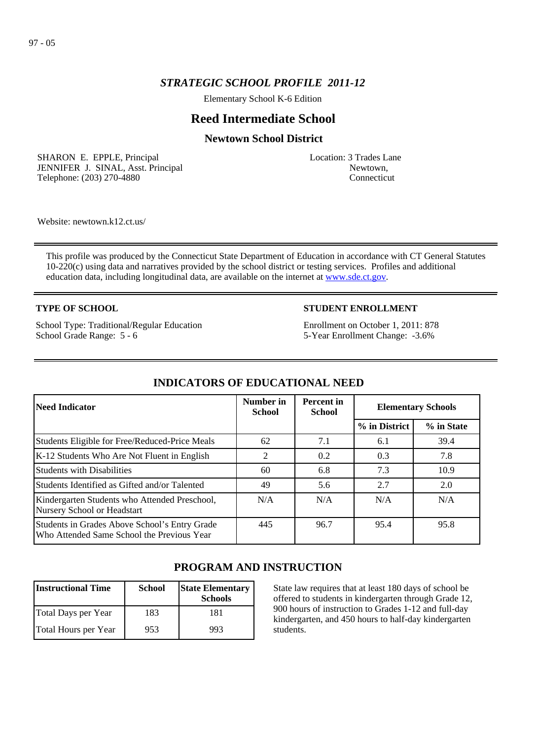# *STRATEGIC SCHOOL PROFILE 2011-12*

Elementary School K-6 Edition

# **Reed Intermediate School**

## **Newtown School District**

SHARON E. EPPLE, Principal JENNIFER J. SINAL, Asst. Principal Telephone: (203) 270-4880

Location: 3 Trades Lane Newtown, Connecticut

Website: newtown.k12.ct.us/

This profile was produced by the Connecticut State Department of Education in accordance with CT General Statutes 10-220(c) using data and narratives provided by the school district or testing services. Profiles and additional education data, including longitudinal data, are available on the internet at [www.sde.ct.gov](http://www.sde.ct.gov/).

## **TYPE OF SCHOOL**

School Type: Traditional/Regular Education School Grade Range: 5 - 6

## **STUDENT ENROLLMENT**

Enrollment on October 1, 2011: 878 5-Year Enrollment Change: -3.6%

| <b>Need Indicator</b>                                                                       | Number in<br><b>School</b> | <b>Percent</b> in<br><b>School</b> | <b>Elementary Schools</b> |            |
|---------------------------------------------------------------------------------------------|----------------------------|------------------------------------|---------------------------|------------|
|                                                                                             |                            |                                    | % in District             | % in State |
| Students Eligible for Free/Reduced-Price Meals                                              | 62                         | 7.1                                | 6.1                       | 39.4       |
| K-12 Students Who Are Not Fluent in English                                                 | 2                          | 0.2                                | 0.3                       | 7.8        |
| <b>Students with Disabilities</b>                                                           | 60                         | 6.8                                | 7.3                       | 10.9       |
| Students Identified as Gifted and/or Talented                                               | 49                         | 5.6                                | 2.7                       | 2.0        |
| Kindergarten Students who Attended Preschool,<br>Nursery School or Headstart                | N/A                        | N/A                                | N/A                       | N/A        |
| Students in Grades Above School's Entry Grade<br>Who Attended Same School the Previous Year | 445                        | 96.7                               | 95.4                      | 95.8       |

# **INDICATORS OF EDUCATIONAL NEED**

# **PROGRAM AND INSTRUCTION**

| <b>Instructional Time</b> | <b>School</b> | <b>State Elementary</b><br><b>Schools</b> |
|---------------------------|---------------|-------------------------------------------|
| Total Days per Year       | 183           | 181                                       |
| Total Hours per Year      | 953           | 993                                       |

State law requires that at least 180 days of school be offered to students in kindergarten through Grade 12, 900 hours of instruction to Grades 1-12 and full-day kindergarten, and 450 hours to half-day kindergarten students.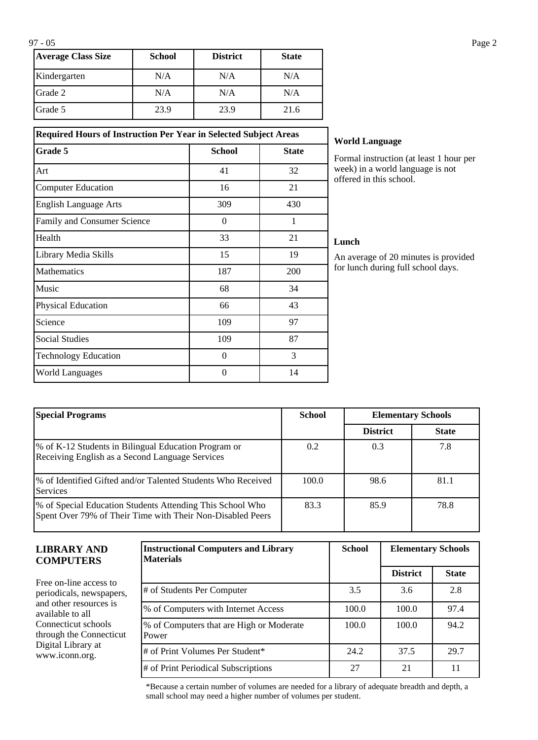| <b>Average Class Size</b> | School | <b>District</b> | <b>State</b> |
|---------------------------|--------|-----------------|--------------|
| Kindergarten              | N/A    | N/A             | N/A          |
| Grade 2                   | N/A    | N/A             | N/A          |
| <b>IGrade 5</b>           | 23.9   | 23.9            | 21.6         |

| <b>Required Hours of Instruction Per Year in Selected Subject Areas</b> |               |              |  |  |
|-------------------------------------------------------------------------|---------------|--------------|--|--|
| Grade 5                                                                 | <b>School</b> | <b>State</b> |  |  |
| Art                                                                     | 41            | 32           |  |  |
| <b>Computer Education</b>                                               | 16            | 21           |  |  |
| <b>English Language Arts</b>                                            | 309           | 430          |  |  |
| Family and Consumer Science                                             | $\Omega$      | 1            |  |  |
| Health                                                                  | 33            | 21           |  |  |
| Library Media Skills                                                    | 15            | 19           |  |  |
| Mathematics                                                             | 187           | 200          |  |  |
| Music                                                                   | 68            | 34           |  |  |
| <b>Physical Education</b>                                               | 66            | 43           |  |  |
| Science                                                                 | 109           | 97           |  |  |
| <b>Social Studies</b>                                                   | 109           | 87           |  |  |
| <b>Technology Education</b>                                             | $\Omega$      | 3            |  |  |
| <b>World Languages</b>                                                  | $\theta$      | 14           |  |  |

#### **World Language**

Formal instruction (at least 1 hour per week) in a world language is not offered in this school.

#### **Lunch**

An average of 20 minutes is provided for lunch during full school days.

| <b>Special Programs</b>                                                                                                 | <b>School</b> | <b>Elementary Schools</b> |              |
|-------------------------------------------------------------------------------------------------------------------------|---------------|---------------------------|--------------|
|                                                                                                                         |               | <b>District</b>           | <b>State</b> |
| \% of K-12 Students in Bilingual Education Program or<br>Receiving English as a Second Language Services                | 0.2           | 0.3                       | 7.8          |
| \% of Identified Gifted and/or Talented Students Who Received<br><b>Services</b>                                        | 100.0         | 98.6                      | 81.1         |
| % of Special Education Students Attending This School Who<br>Spent Over 79% of Their Time with Their Non-Disabled Peers | 83.3          | 85.9                      | 78.8         |

| <b>LIBRARY AND</b><br><b>COMPUTERS</b>                                                                                                                                                     | <b>Instructional Computers and Library</b><br><b>Materials</b> | <b>School</b> | <b>Elementary Schools</b> |              |
|--------------------------------------------------------------------------------------------------------------------------------------------------------------------------------------------|----------------------------------------------------------------|---------------|---------------------------|--------------|
|                                                                                                                                                                                            |                                                                |               | <b>District</b>           | <b>State</b> |
| Free on-line access to<br>periodicals, newspapers,<br>and other resources is<br>available to all<br>Connecticut schools<br>through the Connecticut<br>Digital Library at<br>www.iconn.org. | # of Students Per Computer                                     | 3.5           | 3.6                       | 2.8          |
|                                                                                                                                                                                            | % of Computers with Internet Access                            | 100.0         | 100.0                     | 97.4         |
|                                                                                                                                                                                            | % of Computers that are High or Moderate<br>Power              | 100.0         | 100.0                     | 94.2         |
|                                                                                                                                                                                            | # of Print Volumes Per Student*                                | 24.2          | 37.5                      | 29.7         |
|                                                                                                                                                                                            | # of Print Periodical Subscriptions                            | 27            | 21                        | 11           |

\*Because a certain number of volumes are needed for a library of adequate breadth and depth, a small school may need a higher number of volumes per student.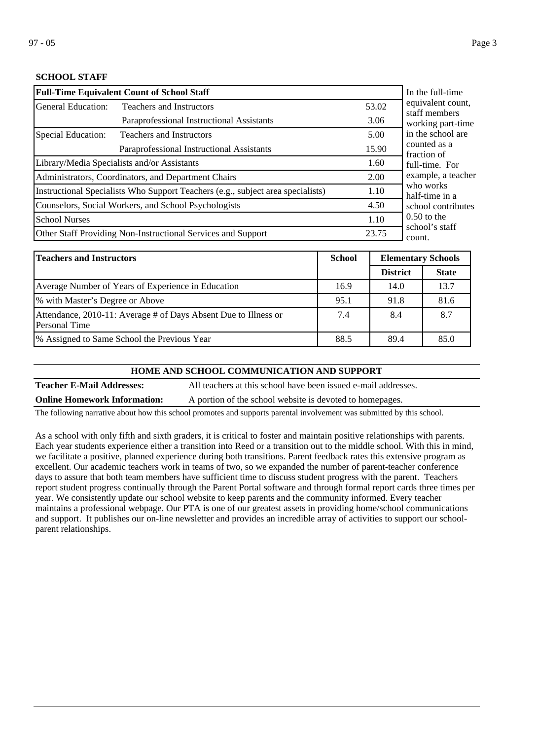## **SCHOOL STAFF**

| <b>Full-Time Equivalent Count of School Staff</b>                               | In the full-time                                    |                    |                                      |
|---------------------------------------------------------------------------------|-----------------------------------------------------|--------------------|--------------------------------------|
| General Education:                                                              | <b>Teachers and Instructors</b>                     | 53.02              | equivalent count,<br>staff members   |
|                                                                                 | Paraprofessional Instructional Assistants           | 3.06               | working part-time                    |
| Special Education:                                                              | <b>Teachers and Instructors</b>                     | 5.00               | in the school are                    |
|                                                                                 | Paraprofessional Instructional Assistants           | 15.90              | counted as a<br>fraction of          |
|                                                                                 | Library/Media Specialists and/or Assistants         | 1.60               | full-time. For<br>example, a teacher |
|                                                                                 | Administrators, Coordinators, and Department Chairs | 2.00               |                                      |
| Instructional Specialists Who Support Teachers (e.g., subject area specialists) |                                                     |                    | who works<br>half-time in a          |
| Counselors, Social Workers, and School Psychologists                            | 4.50                                                | school contributes |                                      |
| <b>School Nurses</b>                                                            |                                                     | 1.10               | $0.50$ to the                        |
| Other Staff Providing Non-Instructional Services and Support                    |                                                     |                    | school's staff<br>count.             |

| Teachers and Instructors                                                                | <b>School</b> | <b>Elementary Schools</b> |              |
|-----------------------------------------------------------------------------------------|---------------|---------------------------|--------------|
|                                                                                         |               | <b>District</b>           | <b>State</b> |
| Average Number of Years of Experience in Education                                      | 16.9          | 14.0                      | 13.7         |
| % with Master's Degree or Above                                                         | 95.1          | 91.8                      | 81.6         |
| Attendance, 2010-11: Average # of Days Absent Due to Illness or<br><b>Personal Time</b> | 7.4           | 8.4                       | 8.7          |
| 1% Assigned to Same School the Previous Year                                            | 88.5          | 89.4                      | 85.0         |

#### **HOME AND SCHOOL COMMUNICATION AND SUPPORT**

**Teacher E-Mail Addresses:** All teachers at this school have been issued e-mail addresses. **Online Homework Information:** A portion of the school website is devoted to homepages.

The following narrative about how this school promotes and supports parental involvement was submitted by this school.

As a school with only fifth and sixth graders, it is critical to foster and maintain positive relationships with parents. Each year students experience either a transition into Reed or a transition out to the middle school. With this in mind, we facilitate a positive, planned experience during both transitions. Parent feedback rates this extensive program as excellent. Our academic teachers work in teams of two, so we expanded the number of parent-teacher conference days to assure that both team members have sufficient time to discuss student progress with the parent. Teachers report student progress continually through the Parent Portal software and through formal report cards three times per year. We consistently update our school website to keep parents and the community informed. Every teacher maintains a professional webpage. Our PTA is one of our greatest assets in providing home/school communications and support. It publishes our on-line newsletter and provides an incredible array of activities to support our schoolparent relationships.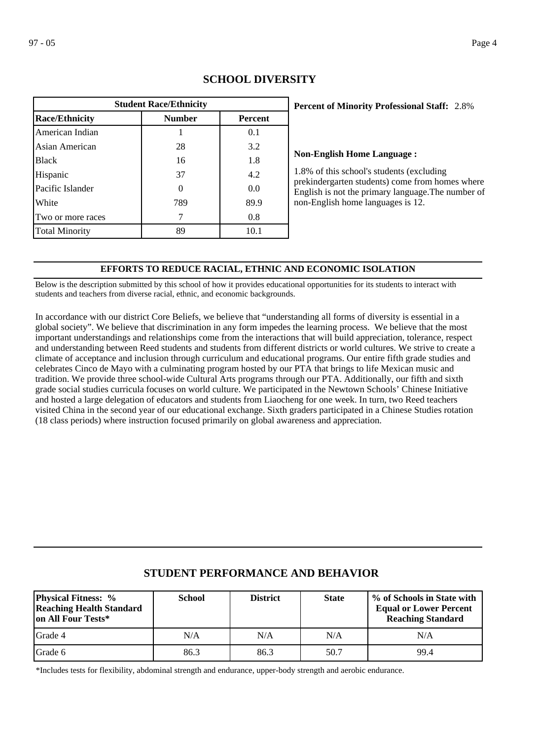| <b>Student Race/Ethnicity</b>                            |     |      |  |  |  |  |  |
|----------------------------------------------------------|-----|------|--|--|--|--|--|
| <b>Race/Ethnicity</b><br><b>Number</b><br><b>Percent</b> |     |      |  |  |  |  |  |
| American Indian                                          |     | 0.1  |  |  |  |  |  |
| Asian American                                           | 28  | 3.2  |  |  |  |  |  |
| <b>Black</b>                                             | 16  | 1.8  |  |  |  |  |  |
| Hispanic                                                 | 37  | 4.2  |  |  |  |  |  |
| Pacific Islander                                         |     | 0.0  |  |  |  |  |  |
| White                                                    | 789 | 89.9 |  |  |  |  |  |
| Two or more races                                        |     | 0.8  |  |  |  |  |  |
| <b>Total Minority</b>                                    | 89  | 10.1 |  |  |  |  |  |

# **SCHOOL DIVERSITY**

## 2.8% **Percent of Minority Professional Staff:**

### **Non-English Home Language :**

1.8% of this school's students (excluding prekindergarten students) come from homes where English is not the primary language.The number of non-English home languages is 12.

### **EFFORTS TO REDUCE RACIAL, ETHNIC AND ECONOMIC ISOLATION**

Below is the description submitted by this school of how it provides educational opportunities for its students to interact with students and teachers from diverse racial, ethnic, and economic backgrounds.

In accordance with our district Core Beliefs, we believe that "understanding all forms of diversity is essential in a global society". We believe that discrimination in any form impedes the learning process. We believe that the most important understandings and relationships come from the interactions that will build appreciation, tolerance, respect and understanding between Reed students and students from different districts or world cultures. We strive to create a climate of acceptance and inclusion through curriculum and educational programs. Our entire fifth grade studies and celebrates Cinco de Mayo with a culminating program hosted by our PTA that brings to life Mexican music and tradition. We provide three school-wide Cultural Arts programs through our PTA. Additionally, our fifth and sixth grade social studies curricula focuses on world culture. We participated in the Newtown Schools' Chinese Initiative and hosted a large delegation of educators and students from Liaocheng for one week. In turn, two Reed teachers visited China in the second year of our educational exchange. Sixth graders participated in a Chinese Studies rotation (18 class periods) where instruction focused primarily on global awareness and appreciation.

| <b>Physical Fitness:</b> %<br><b>Reaching Health Standard</b><br>on All Four Tests* | <b>School</b> | <b>District</b> | <b>State</b> | % of Schools in State with<br><b>Equal or Lower Percent</b><br><b>Reaching Standard</b> |
|-------------------------------------------------------------------------------------|---------------|-----------------|--------------|-----------------------------------------------------------------------------------------|
| <b>I</b> Grade 4                                                                    | N/A           | N/A             | N/A          | N/A                                                                                     |
| Grade 6                                                                             | 86.3          | 86.3            | 50.7         | 99.4                                                                                    |

## **STUDENT PERFORMANCE AND BEHAVIOR**

\*Includes tests for flexibility, abdominal strength and endurance, upper-body strength and aerobic endurance.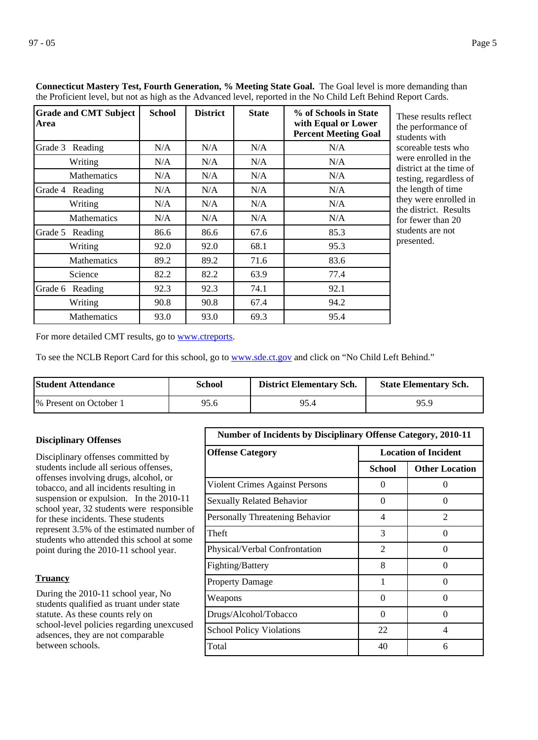| <b>Grade and CMT Subject</b><br>Area | <b>School</b> | <b>District</b> | <b>State</b> | % of Schools in State<br>with Equal or Lower<br><b>Percent Meeting Goal</b> |
|--------------------------------------|---------------|-----------------|--------------|-----------------------------------------------------------------------------|
| Grade 3<br>Reading                   | N/A           | N/A             | N/A          | N/A                                                                         |
| Writing                              | N/A           | N/A             | N/A          | N/A                                                                         |
| <b>Mathematics</b>                   | N/A           | N/A             | N/A          | N/A                                                                         |
| Grade 4<br>Reading                   | N/A           | N/A             | N/A          | N/A                                                                         |
| Writing                              | N/A           | N/A             | N/A          | N/A                                                                         |
| <b>Mathematics</b>                   | N/A           | N/A             | N/A          | N/A                                                                         |
| Grade 5<br>Reading                   | 86.6          | 86.6            | 67.6         | 85.3                                                                        |
| Writing                              | 92.0          | 92.0            | 68.1         | 95.3                                                                        |
| <b>Mathematics</b>                   | 89.2          | 89.2            | 71.6         | 83.6                                                                        |
| Science                              | 82.2          | 82.2            | 63.9         | 77.4                                                                        |
| Grade 6<br>Reading                   | 92.3          | 92.3            | 74.1         | 92.1                                                                        |
| Writing                              | 90.8          | 90.8            | 67.4         | 94.2                                                                        |
| <b>Mathematics</b>                   | 93.0          | 93.0            | 69.3         | 95.4                                                                        |

**Connecticut Mastery Test, Fourth Generation, % Meeting State Goal.** The Goal level is more demanding than the Proficient level, but not as high as the Advanced level, reported in the No Child Left Behind Report Cards.

> hese results reflect ne performance of tudents with coreable tests who were enrolled in the istrict at the time of esting, regardless of ne length of time ney were enrolled in the district. Results or fewer than 20 tudents are not resented.

For more detailed CMT results, go to **[www.ctreports](http://www.ctreports/)**.

To see the NCLB Report Card for this school, go to [www.sde.ct.gov](http://www.sde.ct.gov/) and click on "No Child Left Behind."

| <b>Student Attendance</b> | School | <b>District Elementary Sch.</b> | <b>State Elementary Sch.</b> |
|---------------------------|--------|---------------------------------|------------------------------|
| 1% Present on October 1   | 95.6   | 95.4                            | 95.9                         |

## Disciplinary offenses committed by students include all serious offenses, offenses involving drugs, alcohol, or tobacco, and all incidents resulting in suspension or expulsion. In the 2010-11 school year, 32 students were responsible for these incidents. These students represent 3.5% of the estimated number of students who attended this school at some point during the 2010-11 school year. **Disciplinary Offenses**

## **Truancy**

During the 2010-11 school year, No students qualified as truant under state statute. As these counts rely on school-level policies regarding unexcused adsences, they are not comparable between schools.

| <b>Number of Incidents by Disciplinary Offense Category, 2010-11</b> |                             |                       |
|----------------------------------------------------------------------|-----------------------------|-----------------------|
| <b>Offense Category</b>                                              | <b>Location of Incident</b> |                       |
|                                                                      | School                      | <b>Other Location</b> |
| Violent Crimes Against Persons                                       | $\Omega$                    | $\mathcal{L}$         |
| <b>Sexually Related Behavior</b>                                     | 0                           | $\Omega$              |
| Personally Threatening Behavior                                      | 4                           | $\mathfrak{D}$        |
| Theft                                                                | 3                           | 0                     |
| Physical/Verbal Confrontation                                        | $\overline{2}$              | ∩                     |
| Fighting/Battery                                                     | 8                           | ∩                     |
| <b>Property Damage</b>                                               | 1                           | 0                     |
| Weapons                                                              | 0                           | $\mathcal{L}$         |
| Drugs/Alcohol/Tobacco                                                | $\Omega$                    | ∩                     |
| <b>School Policy Violations</b>                                      | 22                          | 4                     |
| Total                                                                | 40                          | 6                     |